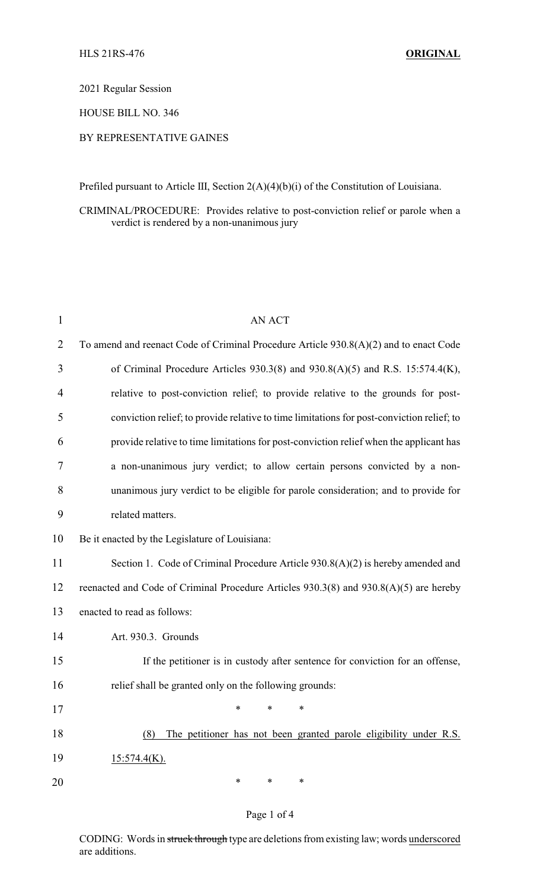2021 Regular Session

HOUSE BILL NO. 346

## BY REPRESENTATIVE GAINES

Prefiled pursuant to Article III, Section 2(A)(4)(b)(i) of the Constitution of Louisiana.

CRIMINAL/PROCEDURE: Provides relative to post-conviction relief or parole when a verdict is rendered by a non-unanimous jury

| $\mathbf{1}$   | <b>AN ACT</b>                                                                             |
|----------------|-------------------------------------------------------------------------------------------|
| $\overline{2}$ | To amend and reenact Code of Criminal Procedure Article 930.8(A)(2) and to enact Code     |
| 3              | of Criminal Procedure Articles $930.3(8)$ and $930.8(A)(5)$ and R.S. 15:574.4(K),         |
| 4              | relative to post-conviction relief; to provide relative to the grounds for post-          |
| 5              | conviction relief; to provide relative to time limitations for post-conviction relief; to |
| 6              | provide relative to time limitations for post-conviction relief when the applicant has    |
| 7              | a non-unanimous jury verdict; to allow certain persons convicted by a non-                |
| 8              | unanimous jury verdict to be eligible for parole consideration; and to provide for        |
| 9              | related matters.                                                                          |
| 10             | Be it enacted by the Legislature of Louisiana:                                            |
| 11             | Section 1. Code of Criminal Procedure Article 930.8(A)(2) is hereby amended and           |
| 12             | reenacted and Code of Criminal Procedure Articles 930.3(8) and 930.8(A)(5) are hereby     |
| 13             | enacted to read as follows:                                                               |
| 14             | Art. 930.3. Grounds                                                                       |
| 15             | If the petitioner is in custody after sentence for conviction for an offense,             |
| 16             | relief shall be granted only on the following grounds:                                    |
| 17             | ∗<br>∗<br>∗                                                                               |
| 18             | The petitioner has not been granted parole eligibility under R.S.<br>(8)                  |
| 19             | $15:574.4(K)$ .                                                                           |
| 20             | ∗<br>∗<br>∗                                                                               |

## Page 1 of 4

CODING: Words in struck through type are deletions from existing law; words underscored are additions.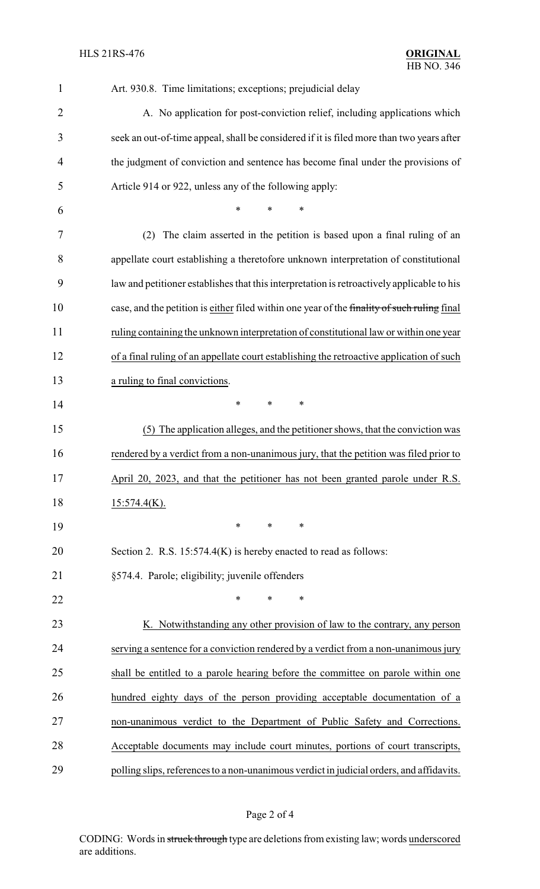| $\mathbf{1}$   | Art. 930.8. Time limitations; exceptions; prejudicial delay                                 |
|----------------|---------------------------------------------------------------------------------------------|
| $\overline{2}$ | A. No application for post-conviction relief, including applications which                  |
| 3              | seek an out-of-time appeal, shall be considered if it is filed more than two years after    |
| 4              | the judgment of conviction and sentence has become final under the provisions of            |
| 5              | Article 914 or 922, unless any of the following apply:                                      |
| 6              | *<br>*<br>∗                                                                                 |
| 7              | The claim asserted in the petition is based upon a final ruling of an<br>(2)                |
| 8              | appellate court establishing a theretofore unknown interpretation of constitutional         |
| 9              | law and petitioner establishes that this interpretation is retroactively applicable to his  |
| 10             | case, and the petition is either filed within one year of the finality of such ruling final |
| 11             | ruling containing the unknown interpretation of constitutional law or within one year       |
| 12             | of a final ruling of an appellate court establishing the retroactive application of such    |
| 13             | a ruling to final convictions.                                                              |
| 14             | *<br>$\ast$<br>*                                                                            |
| 15             | (5) The application alleges, and the petitioner shows, that the conviction was              |
| 16             | rendered by a verdict from a non-unanimous jury, that the petition was filed prior to       |
| 17             | April 20, 2023, and that the petitioner has not been granted parole under R.S.              |
| 18             | $15:574.4(K)$ .                                                                             |
| 19             | *<br>*<br>∗                                                                                 |
| 20             | Section 2. R.S. $15:574.4(K)$ is hereby enacted to read as follows:                         |
| 21             | §574.4. Parole; eligibility; juvenile offenders                                             |
| 22             | $\ast$<br>*<br>∗                                                                            |
| 23             | K. Notwithstanding any other provision of law to the contrary, any person                   |
| 24             | serving a sentence for a conviction rendered by a verdict from a non-unanimous jury         |
| 25             | shall be entitled to a parole hearing before the committee on parole within one             |
| 26             | hundred eighty days of the person providing acceptable documentation of a                   |
| 27             | non-unanimous verdict to the Department of Public Safety and Corrections.                   |
| 28             | Acceptable documents may include court minutes, portions of court transcripts,              |
| 29             | polling slips, references to a non-unanimous verdict in judicial orders, and affidavits.    |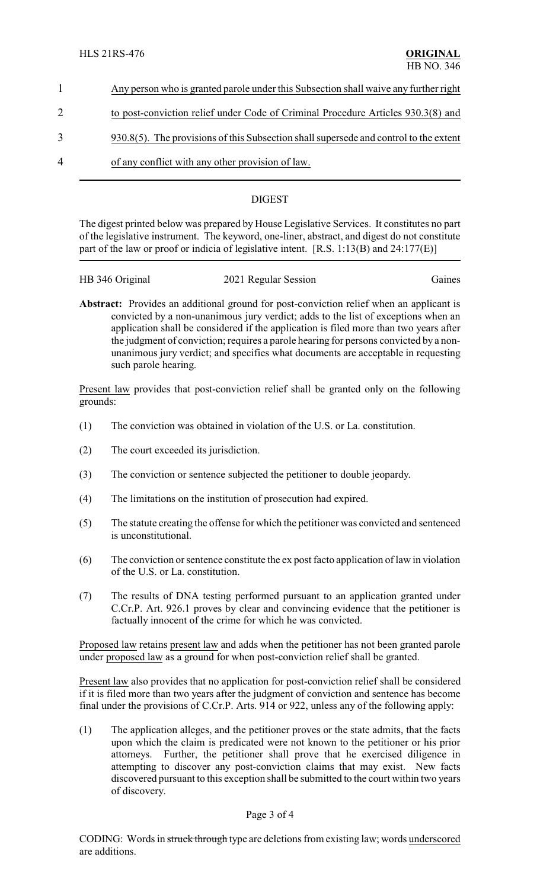|               | Any person who is granted parole under this Subsection shall waive any further right     |
|---------------|------------------------------------------------------------------------------------------|
|               | to post-conviction relief under Code of Criminal Procedure Articles 930.3(8) and         |
| $\mathcal{R}$ | $930.8(5)$ . The provisions of this Subsection shall supersede and control to the extent |

4 of any conflict with any other provision of law.

## DIGEST

The digest printed below was prepared by House Legislative Services. It constitutes no part of the legislative instrument. The keyword, one-liner, abstract, and digest do not constitute part of the law or proof or indicia of legislative intent. [R.S. 1:13(B) and 24:177(E)]

| HB 346 Original | 2021 Regular Session | Gaines |
|-----------------|----------------------|--------|
|                 |                      |        |

**Abstract:** Provides an additional ground for post-conviction relief when an applicant is convicted by a non-unanimous jury verdict; adds to the list of exceptions when an application shall be considered if the application is filed more than two years after the judgment of conviction; requires a parole hearing for persons convicted by a nonunanimous jury verdict; and specifies what documents are acceptable in requesting such parole hearing.

Present law provides that post-conviction relief shall be granted only on the following grounds:

- (1) The conviction was obtained in violation of the U.S. or La. constitution.
- (2) The court exceeded its jurisdiction.
- (3) The conviction or sentence subjected the petitioner to double jeopardy.
- (4) The limitations on the institution of prosecution had expired.
- (5) The statute creating the offense for which the petitioner was convicted and sentenced is unconstitutional.
- (6) The conviction or sentence constitute the ex post facto application of law in violation of the U.S. or La. constitution.
- (7) The results of DNA testing performed pursuant to an application granted under C.Cr.P. Art. 926.1 proves by clear and convincing evidence that the petitioner is factually innocent of the crime for which he was convicted.

Proposed law retains present law and adds when the petitioner has not been granted parole under proposed law as a ground for when post-conviction relief shall be granted.

Present law also provides that no application for post-conviction relief shall be considered if it is filed more than two years after the judgment of conviction and sentence has become final under the provisions of C.Cr.P. Arts. 914 or 922, unless any of the following apply:

(1) The application alleges, and the petitioner proves or the state admits, that the facts upon which the claim is predicated were not known to the petitioner or his prior attorneys. Further, the petitioner shall prove that he exercised diligence in attempting to discover any post-conviction claims that may exist. New facts discovered pursuant to this exception shall be submitted to the court within two years of discovery.

## Page 3 of 4

CODING: Words in struck through type are deletions from existing law; words underscored are additions.